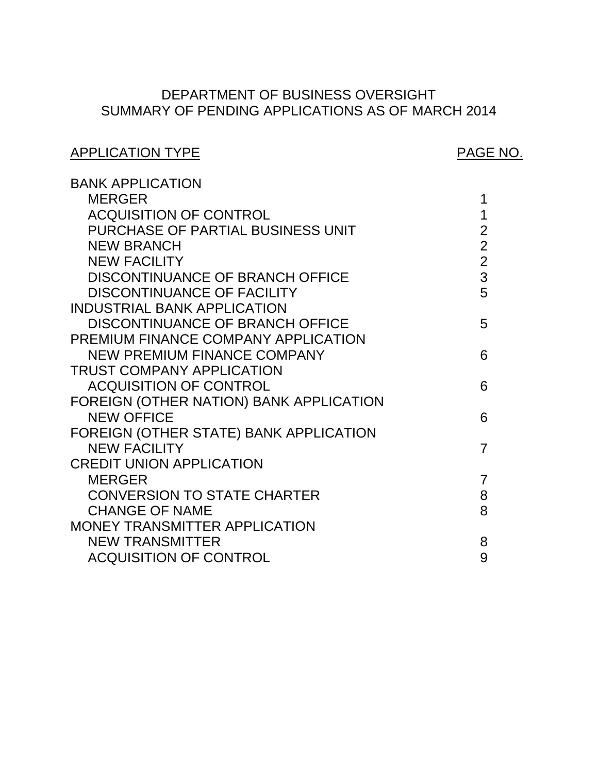# SUMMARY OF PENDING APPLICATIONS AS OF MARCH 2014 DEPARTMENT OF BUSINESS OVERSIGHT

| <b>APPLICATION TYPE</b>                                      | PAGE NO.       |
|--------------------------------------------------------------|----------------|
| <b>BANK APPLICATION</b>                                      |                |
| <b>MERGER</b>                                                | 1              |
| <b>ACQUISITION OF CONTROL</b>                                | 1              |
| PURCHASE OF PARTIAL BUSINESS UNIT                            | $\frac{2}{2}$  |
| <b>NEW BRANCH</b>                                            |                |
| <b>NEW FACILITY</b>                                          | $\overline{2}$ |
| DISCONTINUANCE OF BRANCH OFFICE                              | 3              |
| <b>DISCONTINUANCE OF FACILITY</b>                            | 5              |
| <b>INDUSTRIAL BANK APPLICATION</b>                           |                |
| DISCONTINUANCE OF BRANCH OFFICE                              | 5              |
| PREMIUM FINANCE COMPANY APPLICATION                          |                |
| <b>NEW PREMIUM FINANCE COMPANY</b>                           | 6              |
| <b>TRUST COMPANY APPLICATION</b>                             |                |
| <b>ACQUISITION OF CONTROL</b>                                | 6              |
| FOREIGN (OTHER NATION) BANK APPLICATION<br><b>NEW OFFICE</b> | 6              |
| FOREIGN (OTHER STATE) BANK APPLICATION                       |                |
| <b>NEW FACILITY</b>                                          | $\overline{7}$ |
| <b>CREDIT UNION APPLICATION</b>                              |                |
| <b>MERGER</b>                                                | $\overline{7}$ |
| <b>CONVERSION TO STATE CHARTER</b>                           | 8              |
| <b>CHANGE OF NAME</b>                                        | 8              |
| MONEY TRANSMITTER APPLICATION                                |                |
| <b>NEW TRANSMITTER</b>                                       | 8              |
| <b>ACQUISITION OF CONTROL</b>                                | 9              |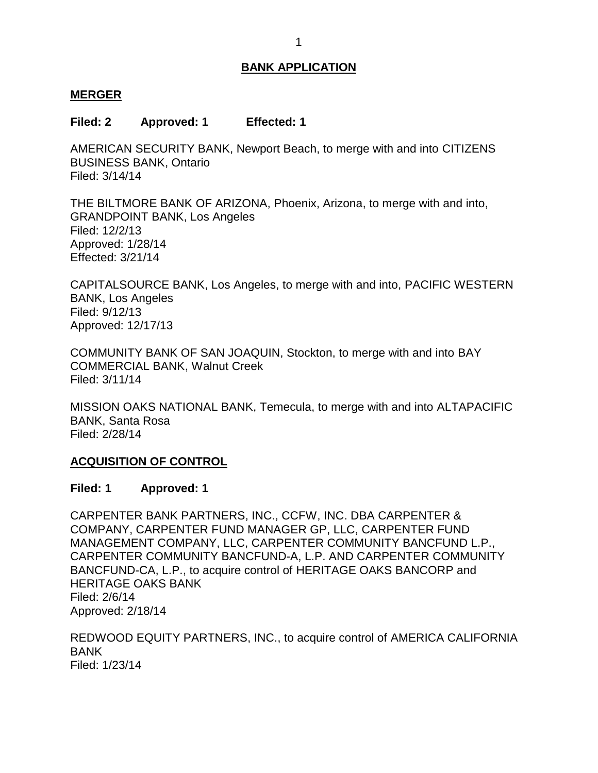#### <span id="page-1-0"></span>**MERGER**

#### **Filed: 2 Approved: 1 Effected: 1**

 AMERICAN SECURITY BANK, Newport Beach, to merge with and into CITIZENS BUSINESS BANK, Ontario Filed: 3/14/14

 THE BILTMORE BANK OF ARIZONA, Phoenix, Arizona, to merge with and into, GRANDPOINT BANK, Los Angeles Filed: 12/2/13 Approved: 1/28/14 Effected: 3/21/14

 CAPITALSOURCE BANK, Los Angeles, to merge with and into, PACIFIC WESTERN BANK, Los Angeles Filed: 9/12/13 Approved: 12/17/13

 COMMUNITY BANK OF SAN JOAQUIN, Stockton, to merge with and into BAY COMMERCIAL BANK, Walnut Creek Filed: 3/11/14

 MISSION OAKS NATIONAL BANK, Temecula, to merge with and into ALTAPACIFIC BANK, Santa Rosa Filed: 2/28/14

#### **ACQUISITION OF CONTROL**

#### **Filed: 1 Approved: 1**

 CARPENTER BANK PARTNERS, INC., CCFW, INC. DBA CARPENTER & CARPENTER COMMUNITY BANCFUND-A, L.P. AND CARPENTER COMMUNITY BANCFUND-CA, L.P., to acquire control of HERITAGE OAKS BANCORP and HERITAGE OAKS BANK COMPANY, CARPENTER FUND MANAGER GP, LLC, CARPENTER FUND MANAGEMENT COMPANY, LLC, CARPENTER COMMUNITY BANCFUND L.P., Filed: 2/6/14 Approved: 2/18/14

 REDWOOD EQUITY PARTNERS, INC., to acquire control of AMERICA CALIFORNIA BANK Filed: 1/23/14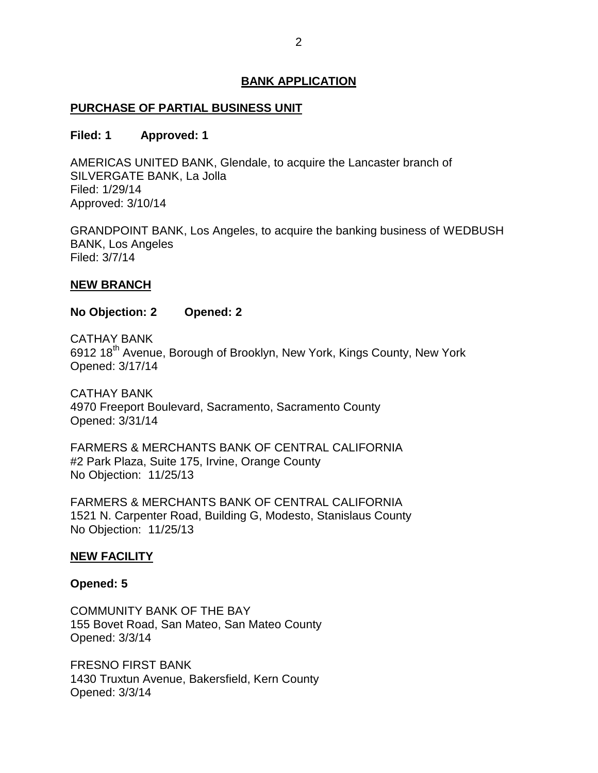# <span id="page-2-0"></span>**PURCHASE OF PARTIAL BUSINESS UNIT**

#### **Filed: 1 Approved: 1**

 AMERICAS UNITED BANK, Glendale, to acquire the Lancaster branch of SILVERGATE BANK, La Jolla Filed: 1/29/14 Approved: 3/10/14

 GRANDPOINT BANK, Los Angeles, to acquire the banking business of WEDBUSH BANK, Los Angeles Filed: 3/7/14

#### **NEW BRANCH**

### **No Objection: 2 Opened: 2**

6912 18<sup>th</sup> Avenue, Borough of Brooklyn, New York, Kings County, New York CATHAY BANK Opened: 3/17/14

 4970 Freeport Boulevard, Sacramento, Sacramento County CATHAY BANK Opened: 3/31/14

 FARMERS & MERCHANTS BANK OF CENTRAL CALIFORNIA #2 Park Plaza, Suite 175, Irvine, Orange County No Objection: 11/25/13

 FARMERS & MERCHANTS BANK OF CENTRAL CALIFORNIA 1521 N. Carpenter Road, Building G, Modesto, Stanislaus County No Objection: 11/25/13

#### **NEW FACILITY**

#### **Opened: 5**

 COMMUNITY BANK OF THE BAY 155 Bovet Road, San Mateo, San Mateo County Opened: 3/3/14

 FRESNO FIRST BANK 1430 Truxtun Avenue, Bakersfield, Kern County Opened: 3/3/14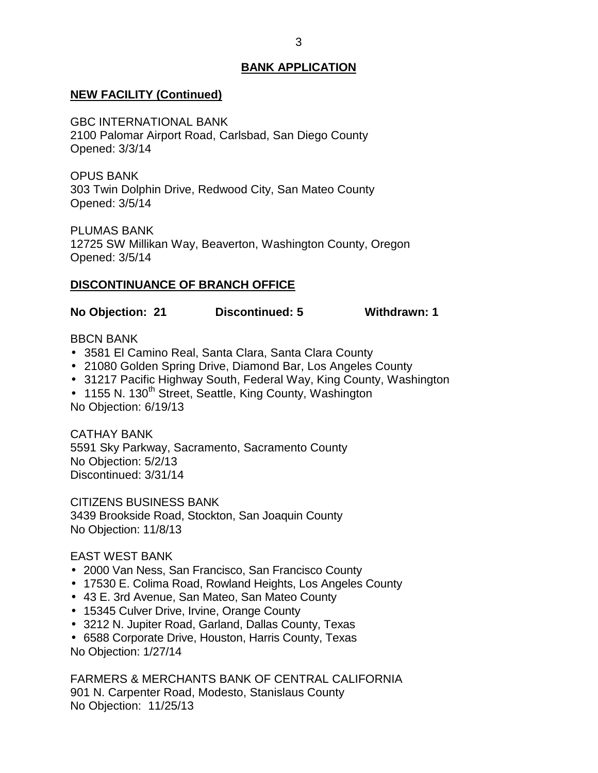# <span id="page-3-0"></span> **NEW FACILITY (Continued)**

 2100 Palomar Airport Road, Carlsbad, San Diego County GBC INTERNATIONAL BANK Opened: 3/3/14

 303 Twin Dolphin Drive, Redwood City, San Mateo County OPUS BANK Opened: 3/5/14

 12725 SW Millikan Way, Beaverton, Washington County, Oregon PLUMAS BANK Opened: 3/5/14

## **DISCONTINUANCE OF BRANCH OFFICE**

**No Objection: 21 Discontinued: 5 Withdrawn: 1** 

#### BBCN BANK

- 3581 El Camino Real, Santa Clara, Santa Clara County
- 21080 Golden Spring Drive, Diamond Bar, Los Angeles County
- 31217 Pacific Highway South, Federal Way, King County, Washington
- 1155 N. 130<sup>th</sup> Street, Seattle, King County, Washington No Objection: 6/19/13

 5591 Sky Parkway, Sacramento, Sacramento County No Objection: 5/2/13 CATHAY BANK Discontinued: 3/31/14

 CITIZENS BUSINESS BANK 3439 Brookside Road, Stockton, San Joaquin County No Objection: 11/8/13

#### EAST WEST BANK

- 2000 Van Ness, San Francisco, San Francisco County
- 17530 E. Colima Road, Rowland Heights, Los Angeles County
- 43 E. 3rd Avenue, San Mateo, San Mateo County
- 15345 Culver Drive, Irvine, Orange County
- 3212 N. Jupiter Road, Garland, Dallas County, Texas
- 6588 Corporate Drive, Houston, Harris County, Texas

No Objection: 1/27/14

 FARMERS & MERCHANTS BANK OF CENTRAL CALIFORNIA 901 N. Carpenter Road, Modesto, Stanislaus County No Objection: 11/25/13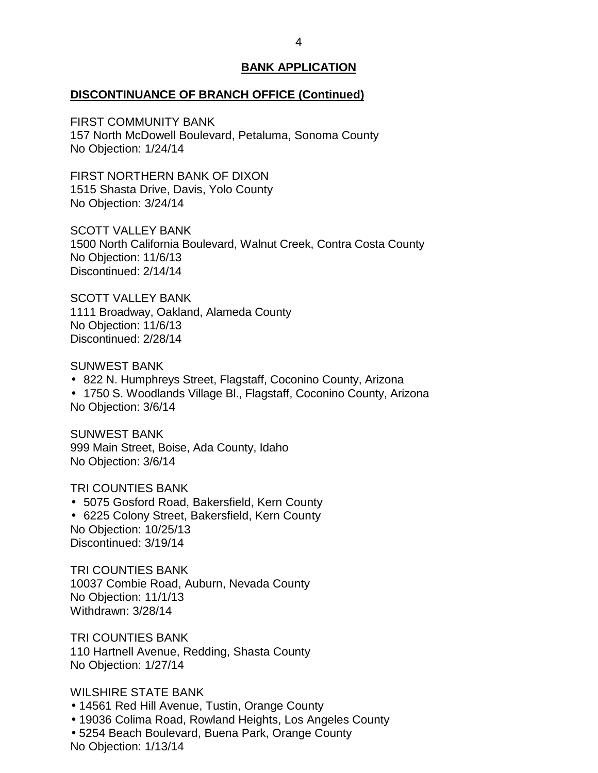#### **DISCONTINUANCE OF BRANCH OFFICE (Continued)**

 157 North McDowell Boulevard, Petaluma, Sonoma County FIRST COMMUNITY BANK No Objection: 1/24/14

 1515 Shasta Drive, Davis, Yolo County No Objection: 3/24/14 FIRST NORTHERN BANK OF DIXON

 1500 North California Boulevard, Walnut Creek, Contra Costa County SCOTT VALLEY BANK No Objection: 11/6/13 Discontinued: 2/14/14

 1111 Broadway, Oakland, Alameda County No Objection: 11/6/13 SCOTT VALLEY BANK Discontinued: 2/28/14

SUNWEST BANK

- 822 N. Humphreys Street, Flagstaff, Coconino County, Arizona
- 1750 S. Woodlands Village Bl., Flagstaff, Coconino County, Arizona No Objection: 3/6/14

 999 Main Street, Boise, Ada County, Idaho No Objection: 3/6/14 SUNWEST BANK

TRI COUNTIES BANK

 5075 Gosford Road, Bakersfield, Kern County 6225 Colony Street, Bakersfield, Kern County No Objection: 10/25/13 Discontinued: 3/19/14

 10037 Combie Road, Auburn, Nevada County TRI COUNTIES BANK No Objection: 11/1/13 Withdrawn: 3/28/14

 110 Hartnell Avenue, Redding, Shasta County TRI COUNTIES BANK No Objection: 1/27/14

WILSHIRE STATE BANK

- 14561 Red Hill Avenue, Tustin, Orange County
- 19036 Colima Road, Rowland Heights, Los Angeles County
- 5254 Beach Boulevard, Buena Park, Orange County

No Objection: 1/13/14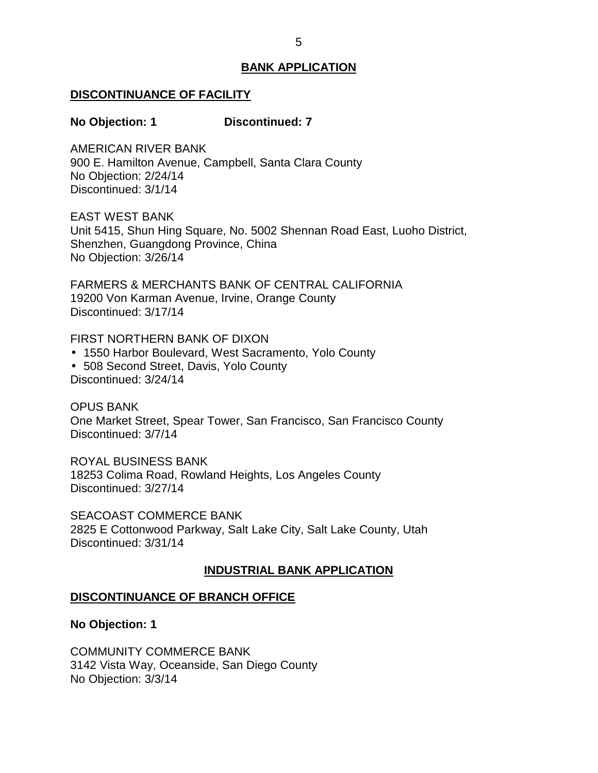#### <span id="page-5-0"></span>**DISCONTINUANCE OF FACILITY**

#### **No Objection: 1 Discontinued: 7**

 900 E. Hamilton Avenue, Campbell, Santa Clara County No Objection: 2/24/14 AMERICAN RIVER BANK Discontinued: 3/1/14

EAST WEST BANK

 Unit 5415, Shun Hing Square, No. 5002 Shennan Road East, Luoho District, Shenzhen, Guangdong Province, China No Objection: 3/26/14

 FARMERS & MERCHANTS BANK OF CENTRAL CALIFORNIA 19200 Von Karman Avenue, Irvine, Orange County Discontinued: 3/17/14

FIRST NORTHERN BANK OF DIXON

- 1550 Harbor Boulevard, West Sacramento, Yolo County
- 508 Second Street, Davis, Yolo County

Discontinued: 3/24/14

 One Market Street, Spear Tower, San Francisco, San Francisco County OPUS BANK Discontinued: 3/7/14

 18253 Colima Road, Rowland Heights, Los Angeles County ROYAL BUSINESS BANK Discontinued: 3/27/14

 2825 E Cottonwood Parkway, Salt Lake City, Salt Lake County, Utah SEACOAST COMMERCE BANK Discontinued: 3/31/14

#### **INDUSTRIAL BANK APPLICATION**

#### **DISCONTINUANCE OF BRANCH OFFICE**

**No Objection: 1** 

 3142 Vista Way, Oceanside, San Diego County No Objection: 3/3/14 COMMUNITY COMMERCE BANK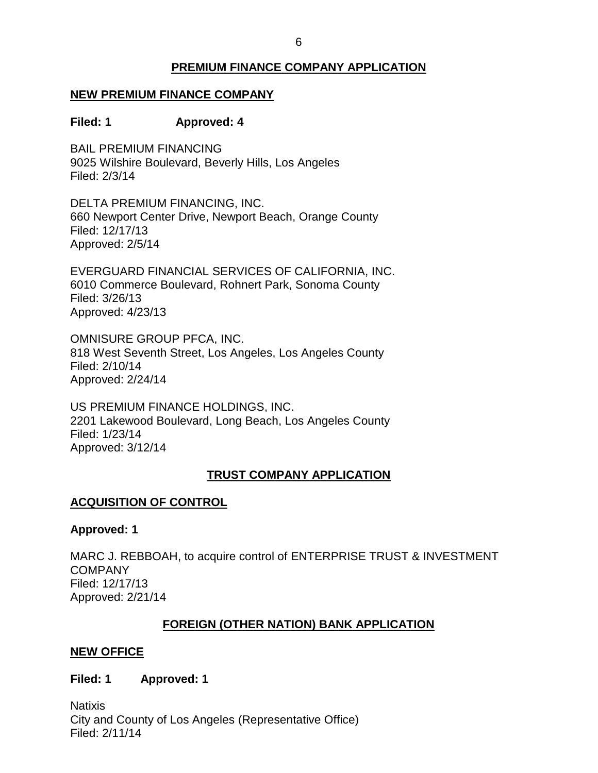# **PREMIUM FINANCE COMPANY APPLICATION**

# <span id="page-6-0"></span> **NEW PREMIUM FINANCE COMPANY**

# **Filed: 1 Approved: 4**

 BAIL PREMIUM FINANCING 9025 Wilshire Boulevard, Beverly Hills, Los Angeles Filed: 2/3/14

 DELTA PREMIUM FINANCING, INC. 660 Newport Center Drive, Newport Beach, Orange County Filed: 12/17/13 Approved: 2/5/14

 6010 Commerce Boulevard, Rohnert Park, Sonoma County EVERGUARD FINANCIAL SERVICES OF CALIFORNIA, INC. Filed: 3/26/13 Approved: 4/23/13

 OMNISURE GROUP PFCA, INC. 818 West Seventh Street, Los Angeles, Los Angeles County Filed: 2/10/14 Approved: 2/24/14

 US PREMIUM FINANCE HOLDINGS, INC. 2201 Lakewood Boulevard, Long Beach, Los Angeles County Filed: 1/23/14 Approved: 3/12/14

# **TRUST COMPANY APPLICATION**

# **ACQUISITION OF CONTROL**

#### **Approved: 1**

 MARC J. REBBOAH, to acquire control of ENTERPRISE TRUST & INVESTMENT COMPANY Filed: 12/17/13 Approved: 2/21/14

# **FOREIGN (OTHER NATION) BANK APPLICATION**

#### **NEW OFFICE**

#### **Filed: 1 Approved: 1**

 City and County of Los Angeles (Representative Office) **Natixis** Filed: 2/11/14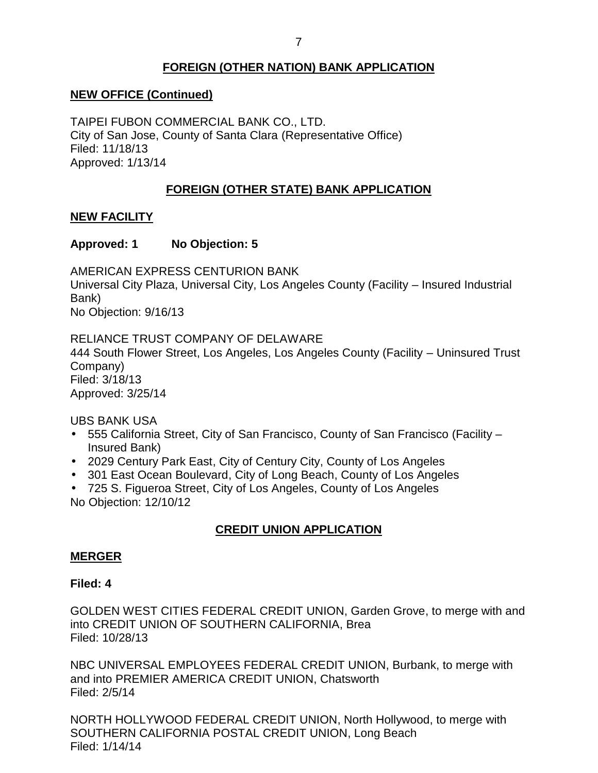# **FOREIGN (OTHER NATION) BANK APPLICATION**

# <span id="page-7-0"></span> **NEW OFFICE (Continued)**

 TAIPEI FUBON COMMERCIAL BANK CO., LTD. City of San Jose, County of Santa Clara (Representative Office) Filed: 11/18/13 Approved: 1/13/14

# **FOREIGN (OTHER STATE) BANK APPLICATION**

# **NEW FACILITY**

# **Approved: 1 No Objection: 5**

 Universal City Plaza, Universal City, Los Angeles County (Facility – Insured Industrial AMERICAN EXPRESS CENTURION BANK Bank) No Objection: 9/16/13

 RELIANCE TRUST COMPANY OF DELAWARE 444 South Flower Street, Los Angeles, Los Angeles County (Facility – Uninsured Trust Company) Filed: 3/18/13 Approved: 3/25/14

UBS BANK USA

- 555 California Street, City of San Francisco, County of San Francisco (Facility Insured Bank)
- 2029 Century Park East, City of Century City, County of Los Angeles
- 301 East Ocean Boulevard, City of Long Beach, County of Los Angeles
- 725 S. Figueroa Street, City of Los Angeles, County of Los Angeles No Objection: 12/10/12

# **CREDIT UNION APPLICATION**

# **MERGER**

#### **Filed: 4**

 GOLDEN WEST CITIES FEDERAL CREDIT UNION, Garden Grove, to merge with and into CREDIT UNION OF SOUTHERN CALIFORNIA, Brea Filed: 10/28/13

 NBC UNIVERSAL EMPLOYEES FEDERAL CREDIT UNION, Burbank, to merge with and into PREMIER AMERICA CREDIT UNION, Chatsworth Filed: 2/5/14

 NORTH HOLLYWOOD FEDERAL CREDIT UNION, North Hollywood, to merge with SOUTHERN CALIFORNIA POSTAL CREDIT UNION, Long Beach Filed: 1/14/14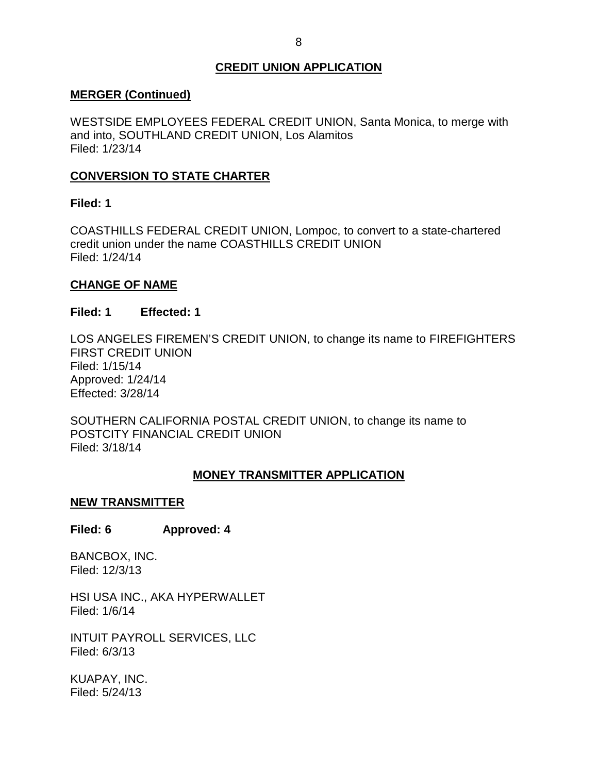# **CREDIT UNION APPLICATION**

## <span id="page-8-0"></span>**MERGER (Continued)**

 WESTSIDE EMPLOYEES FEDERAL CREDIT UNION, Santa Monica, to merge with and into, SOUTHLAND CREDIT UNION, Los Alamitos Filed: 1/23/14

# **CONVERSION TO STATE CHARTER**

## **Filed: 1**

 COASTHILLS FEDERAL CREDIT UNION, Lompoc, to convert to a state-chartered credit union under the name COASTHILLS CREDIT UNION Filed: 1/24/14

## **CHANGE OF NAME**

#### **Filed: 1 Effected: 1**

 LOS ANGELES FIREMEN'S CREDIT UNION, to change its name to FIREFIGHTERS FIRST CREDIT UNION Filed: 1/15/14 Approved: 1/24/14 Effected: 3/28/14

 SOUTHERN CALIFORNIA POSTAL CREDIT UNION, to change its name to POSTCITY FINANCIAL CREDIT UNION Filed: 3/18/14

# **MONEY TRANSMITTER APPLICATION**

#### **NEW TRANSMITTER**

#### **Filed: 6 Approved: 4**

BANCBOX, INC. Filed: 12/3/13

 HSI USA INC., AKA HYPERWALLET Filed: 1/6/14

 INTUIT PAYROLL SERVICES, LLC Filed: 6/3/13

KUAPAY, INC. Filed: 5/24/13